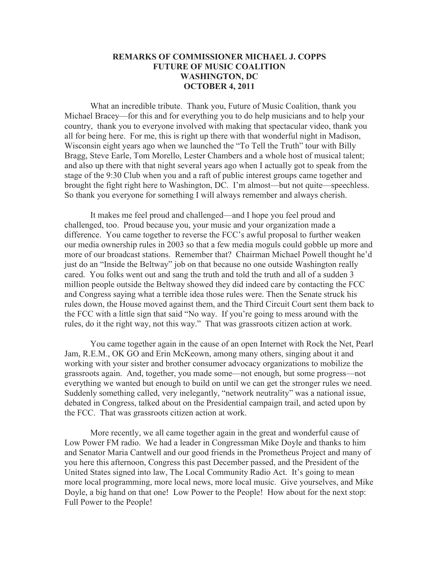## **REMARKS OF COMMISSIONER MICHAEL J. COPPS FUTURE OF MUSIC COALITION WASHINGTON, DC OCTOBER 4, 2011**

What an incredible tribute. Thank you, Future of Music Coalition, thank you Michael Bracey—for this and for everything you to do help musicians and to help your country, thank you to everyone involved with making that spectacular video, thank you all for being here. For me, this is right up there with that wonderful night in Madison, Wisconsin eight years ago when we launched the "To Tell the Truth" tour with Billy Bragg, Steve Earle, Tom Morello, Lester Chambers and a whole host of musical talent; and also up there with that night several years ago when I actually got to speak from the stage of the 9:30 Club when you and a raft of public interest groups came together and brought the fight right here to Washington, DC. I'm almost—but not quite—speechless. So thank you everyone for something I will always remember and always cherish.

It makes me feel proud and challenged—and I hope you feel proud and challenged, too. Proud because you, your music and your organization made a difference. You came together to reverse the FCC's awful proposal to further weaken our media ownership rules in 2003 so that a few media moguls could gobble up more and more of our broadcast stations. Remember that? Chairman Michael Powell thought he'd just do an "Inside the Beltway" job on that because no one outside Washington really cared. You folks went out and sang the truth and told the truth and all of a sudden 3 million people outside the Beltway showed they did indeed care by contacting the FCC and Congress saying what a terrible idea those rules were. Then the Senate struck his rules down, the House moved against them, and the Third Circuit Court sent them back to the FCC with a little sign that said "No way. If you're going to mess around with the rules, do it the right way, not this way." That was grassroots citizen action at work.

You came together again in the cause of an open Internet with Rock the Net, Pearl Jam, R.E.M., OK GO and Erin McKeown, among many others, singing about it and working with your sister and brother consumer advocacy organizations to mobilize the grassroots again. And, together, you made some—not enough, but some progress—not everything we wanted but enough to build on until we can get the stronger rules we need. Suddenly something called, very inelegantly, "network neutrality" was a national issue, debated in Congress, talked about on the Presidential campaign trail, and acted upon by the FCC. That was grassroots citizen action at work.

More recently, we all came together again in the great and wonderful cause of Low Power FM radio. We had a leader in Congressman Mike Doyle and thanks to him and Senator Maria Cantwell and our good friends in the Prometheus Project and many of you here this afternoon, Congress this past December passed, and the President of the United States signed into law, The Local Community Radio Act. It's going to mean more local programming, more local news, more local music. Give yourselves, and Mike Doyle, a big hand on that one! Low Power to the People! How about for the next stop: Full Power to the People!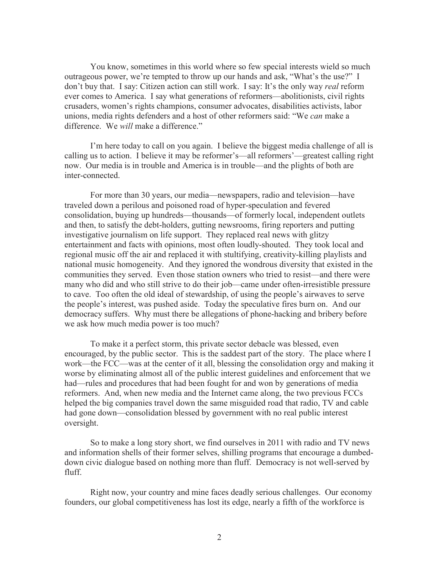You know, sometimes in this world where so few special interests wield so much outrageous power, we're tempted to throw up our hands and ask, "What's the use?" I don't buy that. I say: Citizen action can still work. I say: It's the only way *real* reform ever comes to America. I say what generations of reformers—abolitionists, civil rights crusaders, women's rights champions, consumer advocates, disabilities activists, labor unions, media rights defenders and a host of other reformers said: "We *can* make a difference. We *will* make a difference."

I'm here today to call on you again. I believe the biggest media challenge of all is calling us to action. I believe it may be reformer's—all reformers'—greatest calling right now. Our media is in trouble and America is in trouble—and the plights of both are inter-connected.

For more than 30 years, our media—newspapers, radio and television—have traveled down a perilous and poisoned road of hyper-speculation and fevered consolidation, buying up hundreds—thousands—of formerly local, independent outlets and then, to satisfy the debt-holders, gutting newsrooms, firing reporters and putting investigative journalism on life support. They replaced real news with glitzy entertainment and facts with opinions, most often loudly-shouted. They took local and regional music off the air and replaced it with stultifying, creativity-killing playlists and national music homogeneity. And they ignored the wondrous diversity that existed in the communities they served. Even those station owners who tried to resist—and there were many who did and who still strive to do their job—came under often-irresistible pressure to cave. Too often the old ideal of stewardship, of using the people's airwaves to serve the people's interest, was pushed aside. Today the speculative fires burn on. And our democracy suffers. Why must there be allegations of phone-hacking and bribery before we ask how much media power is too much?

To make it a perfect storm, this private sector debacle was blessed, even encouraged, by the public sector. This is the saddest part of the story. The place where I work—the FCC—was at the center of it all, blessing the consolidation orgy and making it worse by eliminating almost all of the public interest guidelines and enforcement that we had—rules and procedures that had been fought for and won by generations of media reformers. And, when new media and the Internet came along, the two previous FCCs helped the big companies travel down the same misguided road that radio, TV and cable had gone down—consolidation blessed by government with no real public interest oversight.

So to make a long story short, we find ourselves in 2011 with radio and TV news and information shells of their former selves, shilling programs that encourage a dumbeddown civic dialogue based on nothing more than fluff. Democracy is not well-served by fluff.

Right now, your country and mine faces deadly serious challenges. Our economy founders, our global competitiveness has lost its edge, nearly a fifth of the workforce is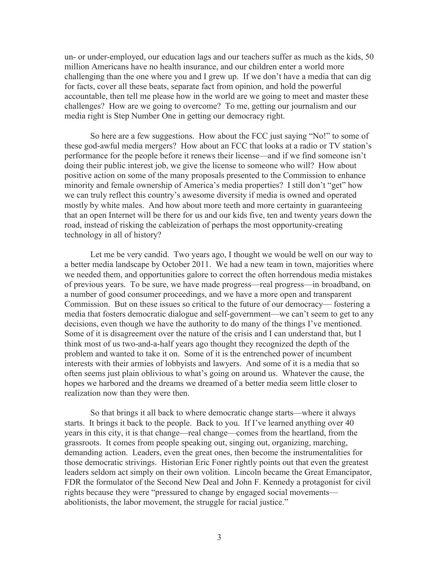un- or under-employed, our education lags and our teachers suffer as much as the kids, 50 million Americans have no health insurance, and our children enter a world more challenging than the one where you and I grew up. If we don't have a media that can dig for facts, cover all these beats, separate fact from opinion, and hold the powerful accountable, then tell me please how in the world are we going to meet and master these challenges? How are we going to overcome? To me, getting our journalism and our media right is Step Number One in getting our democracy right.

So here are a few suggestions. How about the FCC just saying "No!" to some of these god-awful media mergers? How about an FCC that looks at a radio or TV station's performance for the people before it renews their license—and if we find someone isn't doing their public interest job, we give the license to someone who will? How about positive action on some of the many proposals presented to the Commission to enhance minority and female ownership of America's media properties? I still don't "get" how we can truly reflect this country's awesome diversity if media is owned and operated mostly by white males. And how about more teeth and more certainty in guaranteeing that an open Internet will be there for us and our kids five, ten and twenty years down the road, instead of risking the cableization of perhaps the most opportunity-creating technology in all of history?

Let me be very candid. Two years ago, I thought we would be well on our way to a better media landscape by October 2011. We had a new team in town, majorities where we needed them, and opportunities galore to correct the often horrendous media mistakes of previous years. To be sure, we have made progress—real progress—in broadband, on a number of good consumer proceedings, and we have a more open and transparent Commission. But on these issues so critical to the future of our democracy— fostering a media that fosters democratic dialogue and self-government—we can't seem to get to any decisions, even though we have the authority to do many of the things I've mentioned. Some of it is disagreement over the nature of the crisis and I can understand that, but I think most of us two-and-a-half years ago thought they recognized the depth of the problem and wanted to take it on. Some of it is the entrenched power of incumbent interests with their armies of lobbyists and lawyers. And some of it is a media that so often seems just plain oblivious to what's going on around us. Whatever the cause, the hopes we harbored and the dreams we dreamed of a better media seem little closer to realization now than they were then.

So that brings it all back to where democratic change starts—where it always starts. It brings it back to the people. Back to you. If I've learned anything over 40 years in this city, it is that change—real change—comes from the heartland, from the grassroots. It comes from people speaking out, singing out, organizing, marching, demanding action. Leaders, even the great ones, then become the instrumentalities for those democratic strivings. Historian Eric Foner rightly points out that even the greatest leaders seldom act simply on their own volition. Lincoln became the Great Emancipator, FDR the formulator of the Second New Deal and John F. Kennedy a protagonist for civil rights because they were "pressured to change by engaged social movements abolitionists, the labor movement, the struggle for racial justice."